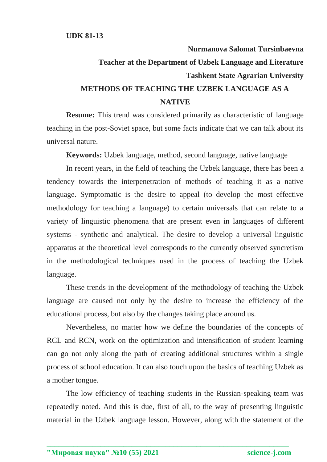## **Nurmanova Salomat Tursinbaevna Teacher at the Department of Uzbek Language and Literature Tashkent State Agrarian University METHODS OF TEACHING THE UZBEK LANGUAGE AS A NATIVE**

**Resume:** This trend was considered primarily as characteristic of language teaching in the post-Soviet space, but some facts indicate that we can talk about its universal nature.

**Keywords:** Uzbek language, method, second language, native language

In recent years, in the field of teaching the Uzbek language, there has been a tendency towards the interpenetration of methods of teaching it as a native language. Symptomatic is the desire to appeal (to develop the most effective methodology for teaching a language) to certain universals that can relate to a variety of linguistic phenomena that are present even in languages of different systems - synthetic and analytical. The desire to develop a universal linguistic apparatus at the theoretical level corresponds to the currently observed syncretism in the methodological techniques used in the process of teaching the Uzbek language.

These trends in the development of the methodology of teaching the Uzbek language are caused not only by the desire to increase the efficiency of the educational process, but also by the changes taking place around us.

Nevertheless, no matter how we define the boundaries of the concepts of RCL and RCN, work on the optimization and intensification of student learning can go not only along the path of creating additional structures within a single process of school education. It can also touch upon the basics of teaching Uzbek as a mother tongue.

The low efficiency of teaching students in the Russian-speaking team was repeatedly noted. And this is due, first of all, to the way of presenting linguistic material in the Uzbek language lesson. However, along with the statement of the

**\_\_\_\_\_\_\_\_\_\_\_\_\_\_\_\_\_\_\_\_\_\_\_\_\_\_\_\_\_\_\_\_\_\_\_\_\_\_\_\_\_\_\_\_\_\_\_\_\_\_\_\_\_\_\_\_\_\_\_\_\_\_\_**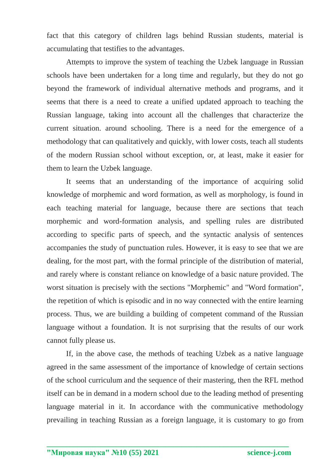fact that this category of children lags behind Russian students, material is accumulating that testifies to the advantages.

Attempts to improve the system of teaching the Uzbek language in Russian schools have been undertaken for a long time and regularly, but they do not go beyond the framework of individual alternative methods and programs, and it seems that there is a need to create a unified updated approach to teaching the Russian language, taking into account all the challenges that characterize the current situation. around schooling. There is a need for the emergence of a methodology that can qualitatively and quickly, with lower costs, teach all students of the modern Russian school without exception, or, at least, make it easier for them to learn the Uzbek language.

It seems that an understanding of the importance of acquiring solid knowledge of morphemic and word formation, as well as morphology, is found in each teaching material for language, because there are sections that teach morphemic and word-formation analysis, and spelling rules are distributed according to specific parts of speech, and the syntactic analysis of sentences accompanies the study of punctuation rules. However, it is easy to see that we are dealing, for the most part, with the formal principle of the distribution of material, and rarely where is constant reliance on knowledge of a basic nature provided. The worst situation is precisely with the sections "Morphemic" and "Word formation", the repetition of which is episodic and in no way connected with the entire learning process. Thus, we are building a building of competent command of the Russian language without a foundation. It is not surprising that the results of our work cannot fully please us.

If, in the above case, the methods of teaching Uzbek as a native language agreed in the same assessment of the importance of knowledge of certain sections of the school curriculum and the sequence of their mastering, then the RFL method itself can be in demand in a modern school due to the leading method of presenting language material in it. In accordance with the communicative methodology prevailing in teaching Russian as a foreign language, it is customary to go from

**\_\_\_\_\_\_\_\_\_\_\_\_\_\_\_\_\_\_\_\_\_\_\_\_\_\_\_\_\_\_\_\_\_\_\_\_\_\_\_\_\_\_\_\_\_\_\_\_\_\_\_\_\_\_\_\_\_\_\_\_\_\_\_**